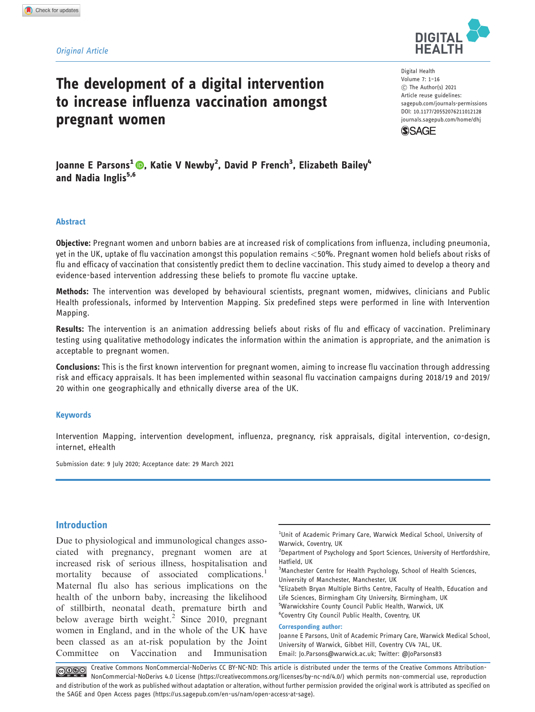### Original Article

# **DIGITAL HEALTH**

# The development of a digital intervention to increase influenza vaccination amongst pregnant women

Digital Health Volume 7: 1–16 C The Author(s) 2021 Article reuse guidelines: [sagepub.com/journals-permissions](http://uk.sagepub.com/en-gb/journals-permissions) [DOI: 10.1177/20552076211012128](http://dx.doi.org/10.1177/20552076211012128) <journals.sagepub.com/home/dhj>



Joanne E Parsons<sup>1</sup> ©, Katie V Newby<sup>2</sup>, David P French<sup>3</sup>, Elizabeth Bailey<sup>4</sup> and Nadia Inglis $5,6$ 

## Abstract

Objective: Pregnant women and unborn babies are at increased risk of complications from influenza, including pneumonia, yet in the UK, uptake of flu vaccination amongst this population remains <50%. Pregnant women hold beliefs about risks of flu and efficacy of vaccination that consistently predict them to decline vaccination. This study aimed to develop a theory and evidence-based intervention addressing these beliefs to promote flu vaccine uptake.

Methods: The intervention was developed by behavioural scientists, pregnant women, midwives, clinicians and Public Health professionals, informed by Intervention Mapping. Six predefined steps were performed in line with Intervention Mapping.

Results: The intervention is an animation addressing beliefs about risks of flu and efficacy of vaccination. Preliminary testing using qualitative methodology indicates the information within the animation is appropriate, and the animation is acceptable to pregnant women.

Conclusions: This is the first known intervention for pregnant women, aiming to increase flu vaccination through addressing risk and efficacy appraisals. It has been implemented within seasonal flu vaccination campaigns during 2018/19 and 2019/ 20 within one geographically and ethnically diverse area of the UK.

### Keywords

Intervention Mapping, intervention development, influenza, pregnancy, risk appraisals, digital intervention, co-design, internet, eHealth

Submission date: 9 July 2020; Acceptance date: 29 March 2021

# Introduction

Due to physiological and immunological changes associated with pregnancy, pregnant women are at increased risk of serious illness, hospitalisation and mortality because of associated complications.<sup>1</sup> Maternal flu also has serious implications on the health of the unborn baby, increasing the likelihood of stillbirth, neonatal death, premature birth and below average birth weight.<sup>2</sup> Since 2010, pregnant women in England, and in the whole of the UK have been classed as an at-risk population by the Joint Committee on Vaccination and Immunisation

<sup>1</sup>Unit of Academic Primary Care, Warwick Medical School, University of Warwick, Coventry, UK

<sup>2</sup>Department of Psychology and Sport Sciences, University of Hertfordshire, Hatfield, UK

<sup>3</sup>Manchester Centre for Health Psychology, School of Health Sciences, University of Manchester, Manchester, UK

4 Elizabeth Bryan Multiple Births Centre, Faculty of Health, Education and Life Sciences, Birmingham City University, Birmingham, UK <sup>5</sup>Warwickshire County Council Public Health, Warwick, UK 6 Coventry City Council Public Health, Coventry, UK

Corresponding author:

Joanne E Parsons, Unit of Academic Primary Care, Warwick Medical School, University of Warwick, Gibbet Hill, Coventry CV4 7AL, UK. Email: [Jo.Parsons@warwick.ac.uk;](mailto:Jo.Parsons@warwick.ac.uk) Twitter: @JoParsons83

Creative Commons NonCommercial-NoDerivs CC BY-NC-ND: This article is distributed under the terms of the Creative Commons Attribution-NonCommercial-NoDerivs 4.0 License (https://creativecommons.org/licenses/by-nc-nd/4.0/) which permits non-commercial use, reproduction and distribution of the work as published without adaptation or alteration, without further permission provided the original work is attributed as specified on the SAGE and Open Access pages (https://us.sagepub.com/en-us/nam/open-access-at-sage).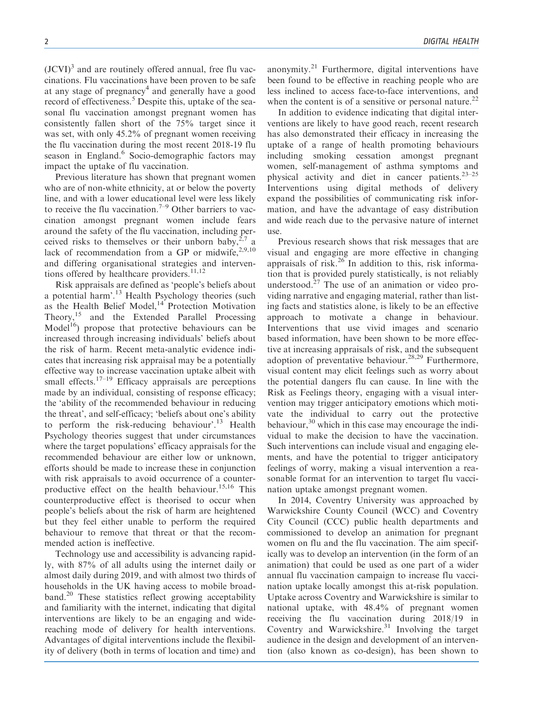$(JCVI)^3$  and are routinely offered annual, free flu vaccinations. Flu vaccinations have been proven to be safe at any stage of pregnancy<sup>4</sup> and generally have a good record of effectiveness.<sup>5</sup> Despite this, uptake of the seasonal flu vaccination amongst pregnant women has consistently fallen short of the 75% target since it was set, with only 45.2% of pregnant women receiving the flu vaccination during the most recent 2018-19 flu season in England.<sup>6</sup> Socio-demographic factors may impact the uptake of flu vaccination.

Previous literature has shown that pregnant women who are of non-white ethnicity, at or below the poverty line, and with a lower educational level were less likely to receive the flu vaccination.<sup>7–9</sup> Other barriers to vaccination amongst pregnant women include fears around the safety of the flu vaccination, including per-<br>ceived risks to themselves or their unborn baby,<sup>2,7</sup> a ceived risks to themselves or their unborn baby, lack of recommendation from a GP or midwife, $2,9,10$ and differing organisational strategies and interventions offered by healthcare providers. $11,12$ 

Risk appraisals are defined as 'people's beliefs about a potential harm'.<sup>13</sup> Health Psychology theories (such as the Health Belief Model,<sup>14</sup> Protection Motivation Theory,<sup>15</sup> and the Extended Parallel Processing Model<sup>16</sup>) propose that protective behaviours can be increased through increasing individuals' beliefs about the risk of harm. Recent meta-analytic evidence indicates that increasing risk appraisal may be a potentially effective way to increase vaccination uptake albeit with small effects.<sup>17–19</sup> Efficacy appraisals are perceptions made by an individual, consisting of response efficacy; the 'ability of the recommended behaviour in reducing the threat', and self-efficacy; 'beliefs about one's ability to perform the risk-reducing behaviour'.<sup>13</sup> Health Psychology theories suggest that under circumstances where the target populations' efficacy appraisals for the recommended behaviour are either low or unknown, efforts should be made to increase these in conjunction with risk appraisals to avoid occurrence of a counterproductive effect on the health behaviour.<sup>15,16</sup> This counterproductive effect is theorised to occur when people's beliefs about the risk of harm are heightened but they feel either unable to perform the required behaviour to remove that threat or that the recommended action is ineffective.

Technology use and accessibility is advancing rapidly, with 87% of all adults using the internet daily or almost daily during 2019, and with almost two thirds of households in the UK having access to mobile broadband.<sup>20</sup> These statistics reflect growing acceptability and familiarity with the internet, indicating that digital interventions are likely to be an engaging and widereaching mode of delivery for health interventions. Advantages of digital interventions include the flexibility of delivery (both in terms of location and time) and

anonymity. $2^1$  Furthermore, digital interventions have been found to be effective in reaching people who are less inclined to access face-to-face interventions, and when the content is of a sensitive or personal nature.<sup>22</sup>

In addition to evidence indicating that digital interventions are likely to have good reach, recent research has also demonstrated their efficacy in increasing the uptake of a range of health promoting behaviours including smoking cessation amongst pregnant women, self-management of asthma symptoms and physical activity and diet in cancer patients.23–25 Interventions using digital methods of delivery expand the possibilities of communicating risk information, and have the advantage of easy distribution and wide reach due to the pervasive nature of internet use.

Previous research shows that risk messages that are visual and engaging are more effective in changing appraisals of risk.<sup>26</sup> In addition to this, risk information that is provided purely statistically, is not reliably understood. $27$  The use of an animation or video providing narrative and engaging material, rather than listing facts and statistics alone, is likely to be an effective approach to motivate a change in behaviour. Interventions that use vivid images and scenario based information, have been shown to be more effective at increasing appraisals of risk, and the subsequent adoption of preventative behaviour.<sup>28,29</sup> Furthermore. visual content may elicit feelings such as worry about the potential dangers flu can cause. In line with the Risk as Feelings theory, engaging with a visual intervention may trigger anticipatory emotions which motivate the individual to carry out the protective behaviour, $30$  which in this case may encourage the individual to make the decision to have the vaccination. Such interventions can include visual and engaging elements, and have the potential to trigger anticipatory feelings of worry, making a visual intervention a reasonable format for an intervention to target flu vaccination uptake amongst pregnant women.

In 2014, Coventry University was approached by Warwickshire County Council (WCC) and Coventry City Council (CCC) public health departments and commissioned to develop an animation for pregnant women on flu and the flu vaccination. The aim specifically was to develop an intervention (in the form of an animation) that could be used as one part of a wider annual flu vaccination campaign to increase flu vaccination uptake locally amongst this at-risk population. Uptake across Coventry and Warwickshire is similar to national uptake, with 48.4% of pregnant women receiving the flu vaccination during 2018/19 in Coventry and Warwickshire. $31$  Involving the target audience in the design and development of an intervention (also known as co-design), has been shown to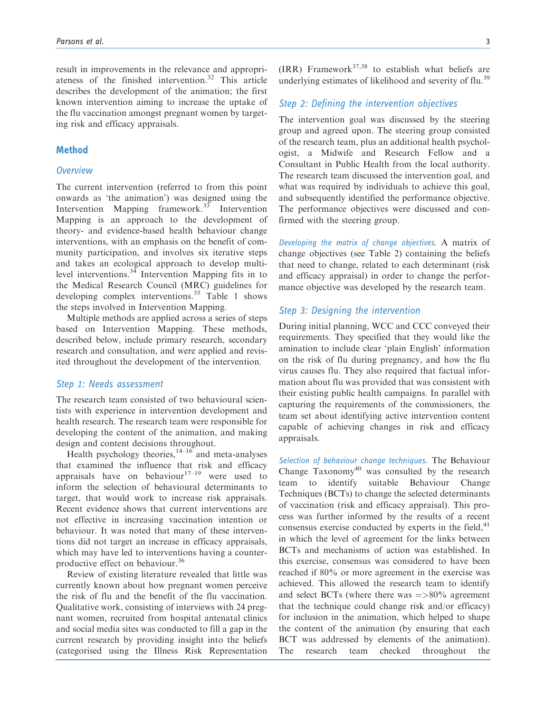result in improvements in the relevance and appropriateness of the finished intervention.32 This article describes the development of the animation; the first known intervention aiming to increase the uptake of the flu vaccination amongst pregnant women by targeting risk and efficacy appraisals.

# Method

### **Overview**

The current intervention (referred to from this point onwards as 'the animation') was designed using the Intervention Mapping framework.<sup>33</sup> Intervention Mapping is an approach to the development of theory- and evidence-based health behaviour change interventions, with an emphasis on the benefit of community participation, and involves six iterative steps and takes an ecological approach to develop multilevel interventions. $34$  Intervention Mapping fits in to the Medical Research Council (MRC) guidelines for developing complex interventions.<sup>35</sup> Table 1 shows the steps involved in Intervention Mapping.

Multiple methods are applied across a series of steps based on Intervention Mapping. These methods, described below, include primary research, secondary research and consultation, and were applied and revisited throughout the development of the intervention.

# Step 1: Needs assessment

The research team consisted of two behavioural scientists with experience in intervention development and health research. The research team were responsible for developing the content of the animation, and making design and content decisions throughout.

Health psychology theories,  $14-16$  and meta-analyses that examined the influence that risk and efficacy appraisals have on behaviour $17-19$  were used to inform the selection of behavioural determinants to target, that would work to increase risk appraisals. Recent evidence shows that current interventions are not effective in increasing vaccination intention or behaviour. It was noted that many of these interventions did not target an increase in efficacy appraisals, which may have led to interventions having a counterproductive effect on behaviour.<sup>36</sup>

Review of existing literature revealed that little was currently known about how pregnant women perceive the risk of flu and the benefit of the flu vaccination. Qualitative work, consisting of interviews with 24 pregnant women, recruited from hospital antenatal clinics and social media sites was conducted to fill a gap in the current research by providing insight into the beliefs (categorised using the Illness Risk Representation (IRR) Framework<sup>37,38</sup> to establish what beliefs are underlying estimates of likelihood and severity of flu.<sup>39</sup>

### Step 2: Defining the intervention objectives

The intervention goal was discussed by the steering group and agreed upon. The steering group consisted of the research team, plus an additional health psychologist, a Midwife and Research Fellow and a Consultant in Public Health from the local authority. The research team discussed the intervention goal, and what was required by individuals to achieve this goal, and subsequently identified the performance objective. The performance objectives were discussed and confirmed with the steering group.

Developing the matrix of change objectives. A matrix of change objectives (see Table 2) containing the beliefs that need to change, related to each determinant (risk and efficacy appraisal) in order to change the performance objective was developed by the research team.

# Step 3: Designing the intervention

During initial planning, WCC and CCC conveyed their requirements. They specified that they would like the amination to include clear 'plain English' information on the risk of flu during pregnancy, and how the flu virus causes flu. They also required that factual information about flu was provided that was consistent with their existing public health campaigns. In parallel with capturing the requirements of the commissioners, the team set about identifying active intervention content capable of achieving changes in risk and efficacy appraisals.

Selection of behaviour change techniques. The Behaviour Change  $Taxonomy^{40}$  was consulted by the research team to identify suitable Behaviour Change Techniques (BCTs) to change the selected determinants of vaccination (risk and efficacy appraisal). This process was further informed by the results of a recent consensus exercise conducted by experts in the field, $41$ in which the level of agreement for the links between BCTs and mechanisms of action was established. In this exercise, consensus was considered to have been reached if 80% or more agreement in the exercise was achieved. This allowed the research team to identify and select BCTs (where there was  $=$  >80% agreement that the technique could change risk and/or efficacy) for inclusion in the animation, which helped to shape the content of the animation (by ensuring that each BCT was addressed by elements of the animation). The research team checked throughout the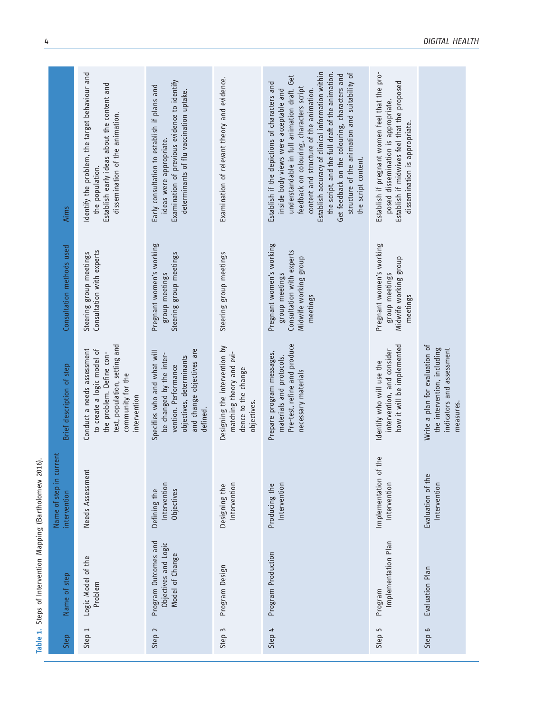| Aims                                    | Identify the problem, the target behaviour and<br>Establish early ideas about the content and<br>dissemination of the animation.<br>the population.        | Examination of previous evidence to identify<br>Early consultation to establish if plans and<br>determinants of flu vaccination uptake.<br>ideas were appropriate. | Examination of relevant theory and evidence.                                                    | Establish accuracy of clinical information within<br>the script, and the full draft of the animation.<br>structure of the animation and suitability of<br>Get feedback on the colouring, characters and<br>understandable in full animation draft. Get<br>Establish if the depictions of characters and<br>feedback on colouring, characters script<br>content and structure of the animation.<br>inside body views were acceptable and<br>the script content. | Establish if pregnant women feel that the pro-<br>Establish if midwives feel that the proposed<br>posed dissemination is appropriate.<br>dissemination is appropriate. |                                                                                                         |
|-----------------------------------------|------------------------------------------------------------------------------------------------------------------------------------------------------------|--------------------------------------------------------------------------------------------------------------------------------------------------------------------|-------------------------------------------------------------------------------------------------|----------------------------------------------------------------------------------------------------------------------------------------------------------------------------------------------------------------------------------------------------------------------------------------------------------------------------------------------------------------------------------------------------------------------------------------------------------------|------------------------------------------------------------------------------------------------------------------------------------------------------------------------|---------------------------------------------------------------------------------------------------------|
| Consultation methods used               | Consultation with experts<br>Steering group meetings                                                                                                       | Pregnant women's working<br>Steering group meetings<br>group meetings                                                                                              | Steering group meetings                                                                         | Pregnant women's working<br>Consultation with experts<br>Midwife working group<br>group meetings<br>meetings                                                                                                                                                                                                                                                                                                                                                   | Pregnant women's working<br>Midwife working group<br>group meetings<br>meetings                                                                                        |                                                                                                         |
| Brief description of step               | text, population, setting and<br>Conduct a needs assessment<br>to create a logic model of<br>the problem. Define con-<br>community for the<br>intervention | and change objectives are<br>Specifies who and what will<br>be changed by the inter-<br>objectives, determinants<br>vention. Performance<br>defined.               | Designing the intervention by<br>matching theory and evi-<br>dence to the change<br>objectives. | Pre-test, refine and produce<br>Prepare program messages,<br>materials and protocols.<br>necessary materials                                                                                                                                                                                                                                                                                                                                                   | how it will be implemented<br>intervention, and consider<br>Identify who will use the                                                                                  | Write a plan for evaluation of<br>the intervention, including<br>indicators and assessment<br>measures. |
| Name of step in current<br>intervention | Needs Assessment                                                                                                                                           | Intervention<br>Objectives<br>Defining the                                                                                                                         | Intervention<br>Designing the                                                                   | Intervention<br>Producing the                                                                                                                                                                                                                                                                                                                                                                                                                                  | the<br>Implementation of<br>Intervention                                                                                                                               | Evaluation of the<br>Intervention                                                                       |
| Name of step                            | Logic Model of the<br>Problem                                                                                                                              | Program Outcomes and<br>Objectives and Logic<br>Model of Change                                                                                                    | Program Design                                                                                  | Program Production                                                                                                                                                                                                                                                                                                                                                                                                                                             | Implementation Plan<br>Program                                                                                                                                         | Evaluation Plan                                                                                         |
| Step                                    | Step 1                                                                                                                                                     | $\sim$<br>Step:                                                                                                                                                    | $\sim$<br>Step                                                                                  | 4<br>Step                                                                                                                                                                                                                                                                                                                                                                                                                                                      | 5<br>Step                                                                                                                                                              | Step 6                                                                                                  |

Table 1. Steps of Intervention Mapping (Bartholomew 2016).

Table 1. Steps of Intervention Mapping (Bartholomew 2016).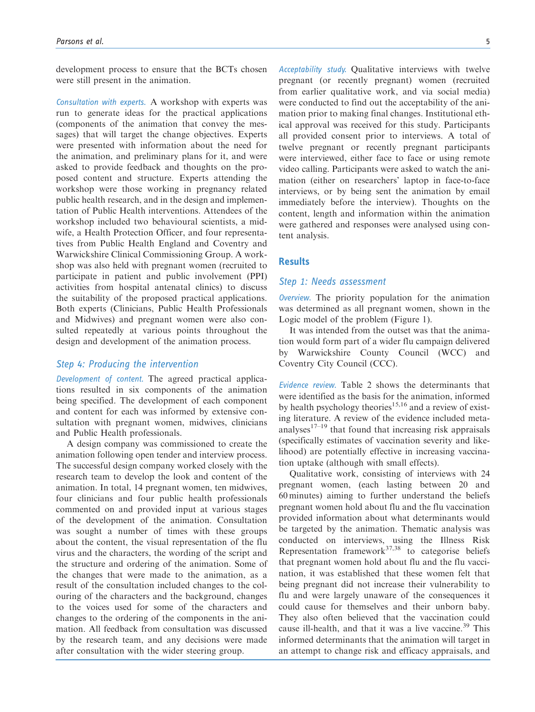development process to ensure that the BCTs chosen were still present in the animation.

Consultation with experts. A workshop with experts was run to generate ideas for the practical applications (components of the animation that convey the messages) that will target the change objectives. Experts were presented with information about the need for the animation, and preliminary plans for it, and were asked to provide feedback and thoughts on the proposed content and structure. Experts attending the workshop were those working in pregnancy related public health research, and in the design and implementation of Public Health interventions. Attendees of the workshop included two behavioural scientists, a midwife, a Health Protection Officer, and four representatives from Public Health England and Coventry and Warwickshire Clinical Commissioning Group. A workshop was also held with pregnant women (recruited to participate in patient and public involvement (PPI) activities from hospital antenatal clinics) to discuss the suitability of the proposed practical applications. Both experts (Clinicians, Public Health Professionals and Midwives) and pregnant women were also consulted repeatedly at various points throughout the design and development of the animation process.

### Step 4: Producing the intervention

Development of content. The agreed practical applications resulted in six components of the animation being specified. The development of each component and content for each was informed by extensive consultation with pregnant women, midwives, clinicians and Public Health professionals.

A design company was commissioned to create the animation following open tender and interview process. The successful design company worked closely with the research team to develop the look and content of the animation. In total, 14 pregnant women, ten midwives, four clinicians and four public health professionals commented on and provided input at various stages of the development of the animation. Consultation was sought a number of times with these groups about the content, the visual representation of the flu virus and the characters, the wording of the script and the structure and ordering of the animation. Some of the changes that were made to the animation, as a result of the consultation included changes to the colouring of the characters and the background, changes to the voices used for some of the characters and changes to the ordering of the components in the animation. All feedback from consultation was discussed by the research team, and any decisions were made after consultation with the wider steering group.

Acceptability study. Qualitative interviews with twelve pregnant (or recently pregnant) women (recruited from earlier qualitative work, and via social media) were conducted to find out the acceptability of the animation prior to making final changes. Institutional ethical approval was received for this study. Participants all provided consent prior to interviews. A total of twelve pregnant or recently pregnant participants were interviewed, either face to face or using remote video calling. Participants were asked to watch the animation (either on researchers' laptop in face-to-face interviews, or by being sent the animation by email immediately before the interview). Thoughts on the content, length and information within the animation were gathered and responses were analysed using content analysis.

### **Results**

### Step 1: Needs assessment

Overview. The priority population for the animation was determined as all pregnant women, shown in the Logic model of the problem (Figure 1).

It was intended from the outset was that the animation would form part of a wider flu campaign delivered by Warwickshire County Council (WCC) and Coventry City Council (CCC).

Evidence review. Table 2 shows the determinants that were identified as the basis for the animation, informed by health psychology theories<sup>15,16</sup> and a review of existing literature. A review of the evidence included metaanalyses $17-19$  that found that increasing risk appraisals (specifically estimates of vaccination severity and likelihood) are potentially effective in increasing vaccination uptake (although with small effects).

Qualitative work, consisting of interviews with 24 pregnant women, (each lasting between 20 and 60 minutes) aiming to further understand the beliefs pregnant women hold about flu and the flu vaccination provided information about what determinants would be targeted by the animation. Thematic analysis was conducted on interviews, using the Illness Risk Representation framework $37,38$  to categorise beliefs that pregnant women hold about flu and the flu vaccination, it was established that these women felt that being pregnant did not increase their vulnerability to flu and were largely unaware of the consequences it could cause for themselves and their unborn baby. They also often believed that the vaccination could cause ill-health, and that it was a live vaccine.<sup>39</sup> This informed determinants that the animation will target in an attempt to change risk and efficacy appraisals, and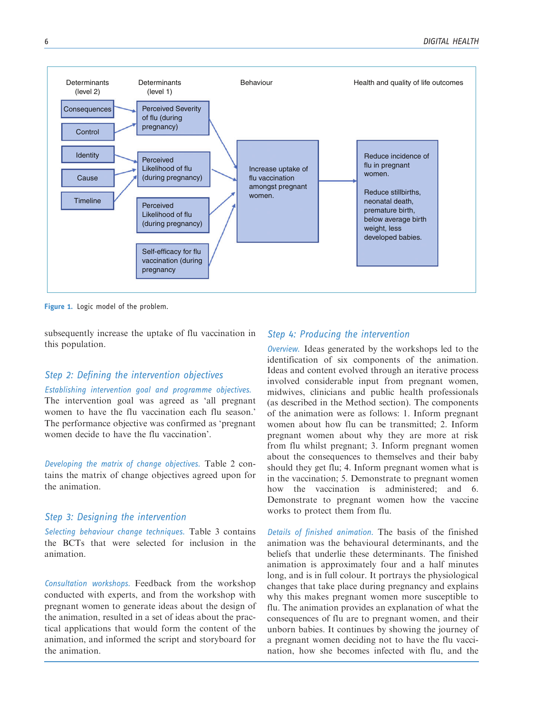

Figure 1. Logic model of the problem.

subsequently increase the uptake of flu vaccination in this population.

# Step 2: Defining the intervention objectives

# Establishing intervention goal and programme objectives.

The intervention goal was agreed as 'all pregnant women to have the flu vaccination each flu season.' The performance objective was confirmed as 'pregnant women decide to have the flu vaccination'.

Developing the matrix of change objectives. Table 2 contains the matrix of change objectives agreed upon for the animation.

### Step 3: Designing the intervention

Selecting behaviour change techniques. Table 3 contains the BCTs that were selected for inclusion in the animation.

Consultation workshops. Feedback from the workshop conducted with experts, and from the workshop with pregnant women to generate ideas about the design of the animation, resulted in a set of ideas about the practical applications that would form the content of the animation, and informed the script and storyboard for the animation.

# Step 4: Producing the intervention

Overview. Ideas generated by the workshops led to the identification of six components of the animation. Ideas and content evolved through an iterative process involved considerable input from pregnant women, midwives, clinicians and public health professionals (as described in the Method section). The components of the animation were as follows: 1. Inform pregnant women about how flu can be transmitted; 2. Inform pregnant women about why they are more at risk from flu whilst pregnant; 3. Inform pregnant women about the consequences to themselves and their baby should they get flu; 4. Inform pregnant women what is in the vaccination; 5. Demonstrate to pregnant women how the vaccination is administered; and 6. Demonstrate to pregnant women how the vaccine works to protect them from flu.

Details of finished animation. The basis of the finished animation was the behavioural determinants, and the beliefs that underlie these determinants. The finished animation is approximately four and a half minutes long, and is in full colour. It portrays the physiological changes that take place during pregnancy and explains why this makes pregnant women more susceptible to flu. The animation provides an explanation of what the consequences of flu are to pregnant women, and their unborn babies. It continues by showing the journey of a pregnant women deciding not to have the flu vaccination, how she becomes infected with flu, and the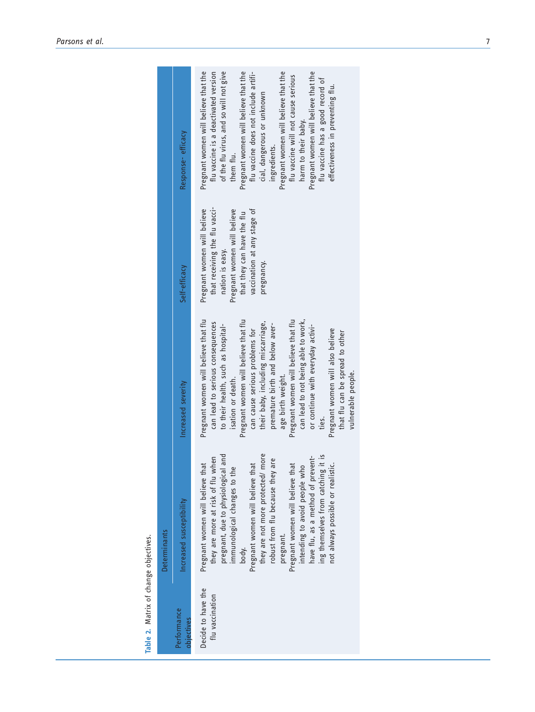|              | Response-efficacy         | Pregnant women will believe that the<br>Pregnant women will believe that the<br>flu vaccine is a deactivated version<br>of the flu virus, and so will not give<br>Pregnant women will believe that the<br>Pregnant women will believe that the<br>flu vaccine does not include artifi-<br>flu vaccine will not cause serious<br>flu vaccine has a good record of<br>effectiveness in preventing flu.<br>cial, dangerous or unknown<br>harm to their baby.<br>ingredients.<br>them flu.                                                |
|--------------|---------------------------|---------------------------------------------------------------------------------------------------------------------------------------------------------------------------------------------------------------------------------------------------------------------------------------------------------------------------------------------------------------------------------------------------------------------------------------------------------------------------------------------------------------------------------------|
|              | Self-efficacy             | that receiving the flu vacci-<br>Pregnant women will believe<br>vaccination at any stage of<br>Pregnant women will believe<br>that they can have the flu<br>nation is easy.<br>pregnancy.                                                                                                                                                                                                                                                                                                                                             |
|              | Increased severity        | Pregnant women will believe that flu<br>Pregnant women will believe that flu<br>Pregnant women will believe that flu<br>can lead to not being able to work,<br>their baby, including miscarriage,<br>can lead to serious consequences<br>premature birth and below aver-<br>to their health, such as hospital-<br>or continue with everyday activi-<br>can cause serious problems for<br>Pregnant women will also believe<br>that flu can be spread to other<br>vulnerable people.<br>age birth weight.<br>isation or death.<br>ties. |
| Determinants | Increased susceptibility  | they are not more protected/ more<br>regnant, due to physiological and<br>ing themselves from catching it is<br>have flu, as a method of prevent-<br>they are more at risk of flu when<br>are<br>not always possible or realistic.<br>Pregnant women will believe that<br>Pregnant women will believe that<br>Pregnant women will believe that<br>intending to avoid people who<br>mmunological changes to th<br>robust from flu because they<br>pregnant.<br>body.                                                                   |
|              | Performance<br>objectives | Decide to have the<br>flu vaccination                                                                                                                                                                                                                                                                                                                                                                                                                                                                                                 |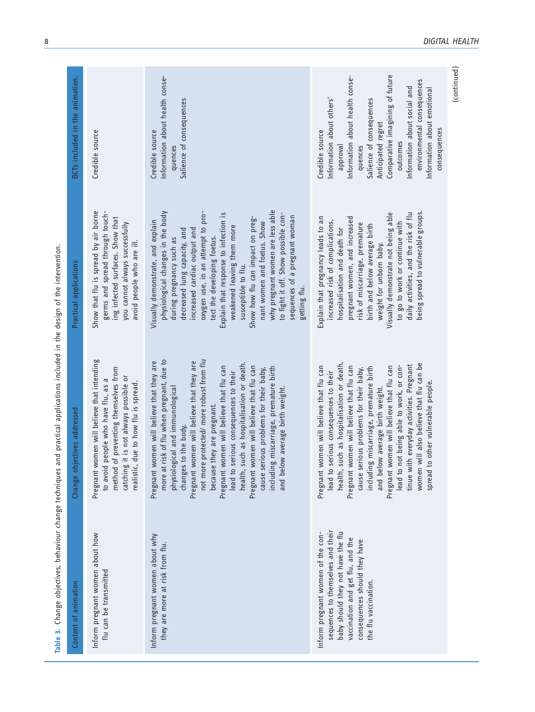| ì<br>١<br>5                                                              |  |
|--------------------------------------------------------------------------|--|
| l<br>֚֡                                                                  |  |
| ֧֧֚֝ <u>֚֓</u> ֚֓                                                        |  |
| i<br>1<br>í<br>j<br>さいこく                                                 |  |
| ī<br>j                                                                   |  |
| 5<br>ť<br>I<br>¢                                                         |  |
| ur<br>E<br>j<br>١                                                        |  |
| $\ddot{\phantom{0}}$<br>$\frac{1}{2}$<br>j<br>ł<br>١<br>١<br>i<br>I<br>١ |  |
| Ž<br>ē                                                                   |  |
|                                                                          |  |

| Content of animation                                                                                                                                                                                     | Change objectives addressed                                                                                                                                                                                                                                                                                                                                                                                                                                                                                                                                                         | Practical applications                                                                                                                                                                                                                                                                                                                                                                                                                                                                                                              | BCTs included in the animation.                                                                                                                                                                                                                                                                                     |
|----------------------------------------------------------------------------------------------------------------------------------------------------------------------------------------------------------|-------------------------------------------------------------------------------------------------------------------------------------------------------------------------------------------------------------------------------------------------------------------------------------------------------------------------------------------------------------------------------------------------------------------------------------------------------------------------------------------------------------------------------------------------------------------------------------|-------------------------------------------------------------------------------------------------------------------------------------------------------------------------------------------------------------------------------------------------------------------------------------------------------------------------------------------------------------------------------------------------------------------------------------------------------------------------------------------------------------------------------------|---------------------------------------------------------------------------------------------------------------------------------------------------------------------------------------------------------------------------------------------------------------------------------------------------------------------|
| Inform pregnant women about how<br>flu can be transmitted                                                                                                                                                | Pregnant women will believe that intending<br>of preventing themselves from<br>catching it is not always possible or<br>realistic, due to how flu is spread<br>people who have flu, as<br>to avoid<br>method                                                                                                                                                                                                                                                                                                                                                                        | Show that flu is spread by air borne<br>germs and spread through touch-<br>ing infected surfaces. Show that<br>you cannot always successfully<br>avoid people who are ill.                                                                                                                                                                                                                                                                                                                                                          | Credible source                                                                                                                                                                                                                                                                                                     |
| Inform pregnant women about why<br>they are more at risk from flu.                                                                                                                                       | risk of flu when pregnant, due to<br>not more protected/ more robust from flu<br>Pregnant women will believe that they are<br>Pregnant women will believe that they are<br>health, such as hospitalisation or death.<br>Pregnant women will believe that flu can<br>Pregnant women will believe that flu can<br>including miscarriage, premature birth<br>cause serious problems for their baby,<br>serious consequences to their<br>physiological and immunological<br>and below average birth weight.<br>because they are pregnant.<br>changes to the body.<br>more at<br>lead to | why pregnant women are less able<br>physiological changes in the body<br>oxygen use, in an attempt to pro-<br>Explain that response to infection is<br>to fight it off. Show possible con-<br>sequences of a pregnant woman<br>Show how flu can impact on preg-<br>Visually demonstrate, and explain<br>nant women and foetus. Show<br>weakened leaving them more<br>increased cardiac output and<br>decreased lung capacity, and<br>tect the developing foetus.<br>during pregnancy such as<br>susceptible to flu.<br>getting flu. | Information about health conse-<br>Salience of consequences<br>Credible source<br>quences                                                                                                                                                                                                                           |
| sequences to themselves and their<br>Inform pregnant women of the con-<br>baby should they not have the flu<br>vaccination and get flu, and the<br>consequences should they have<br>the flu vaccination. | such as hospitalisation or death.<br>will also believe that flu can be<br>tinue with everyday activities. Pregnant<br>lead to not being able to work, or con-<br>Pregnant women will believe that flu can<br>Pregnant women will believe that flu can<br>women will believe that flu can<br>including miscarriage, premature birth<br>cause serious problems for their baby,<br>serious consequences to their<br>to other vulnerable people.<br>and below average birth weight.<br>Pregnant 1<br>health,<br>women<br>lead to<br>spread                                              | daily activities, and the risk of flu<br>being spread to vulnerable groups.<br>Visually demonstrate not being able<br>Explain that pregnancy leads to an<br>pregnant women, and increased<br>increased risk of complications,<br>to go to work or continue with<br>risk of miscarriage, premature<br>birth and below average birth<br>hospitalisation and death for<br>weight for unborn baby.                                                                                                                                      | Comparative imagining of future<br>Information about health conse-<br>environmental consequences<br>nformation about social and<br>Information about emotional<br>Information about others'<br>Salience of consequences<br>Anticipated regret<br>consequences<br>Credible source<br>outcomes<br>approval<br>quences |
|                                                                                                                                                                                                          |                                                                                                                                                                                                                                                                                                                                                                                                                                                                                                                                                                                     |                                                                                                                                                                                                                                                                                                                                                                                                                                                                                                                                     | (continued)                                                                                                                                                                                                                                                                                                         |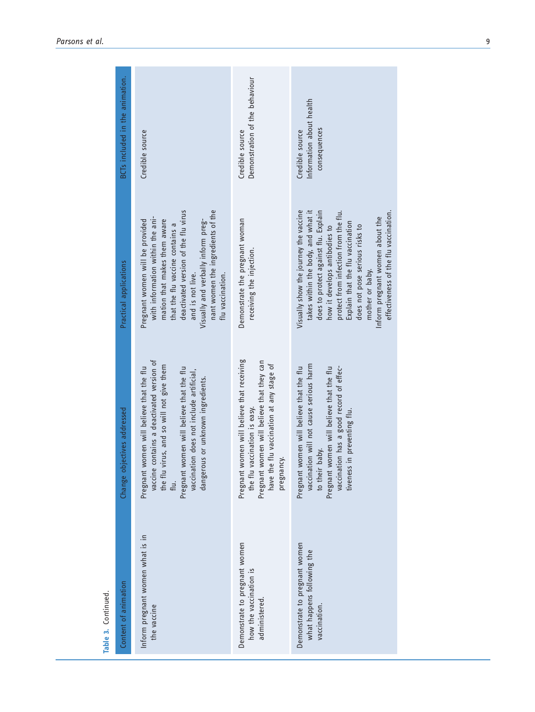|                     | BCTs included in the animation. | Credible source                                                                                                                                                                                                                                                                                   | Demonstration of the behaviour<br>Credible source                                                                                                                                       | Information about health<br>consequences<br>Credible source                                                                                                                                                                                                                                                                                                       |
|---------------------|---------------------------------|---------------------------------------------------------------------------------------------------------------------------------------------------------------------------------------------------------------------------------------------------------------------------------------------------|-----------------------------------------------------------------------------------------------------------------------------------------------------------------------------------------|-------------------------------------------------------------------------------------------------------------------------------------------------------------------------------------------------------------------------------------------------------------------------------------------------------------------------------------------------------------------|
|                     | Practical applications          | deactivated version of the flu virus<br>nant women the ingredients of the<br>with information within the ani-<br>Pregnant women will be provided<br>mation that makes them aware<br>Visually and verbally inform preg-<br>that the flu vaccine contains a<br>flu vaccination.<br>and is not live. | Demonstrate the pregnant woman<br>receiving the injection.                                                                                                                              | Visually show the journey the vaccine<br>takes within the body, and what it<br>does to protect against flu. Explain<br>protect from infection from the flu.<br>effectiveness of the flu vaccination.<br>Inform pregnant women about the<br>Explain that the flu vaccination<br>does not pose serious risks to<br>how it develops antibodies to<br>mother or baby. |
|                     | Change objectives addressed     | vaccine contains a deactivated version of<br>the flu virus, and so will not give them<br>Pregnant women will believe that the flu<br>women will believe that the flu<br>vaccination does not include artificial,<br>dangerous or unknown ingredients.<br>Pregnant<br>flu.                         | women will believe that receiving<br>women will believe that they can<br>have the flu vaccination at any stage of<br>the flu vaccination is easy.<br>pregnancy.<br>Pregnant<br>Pregnant | vaccination will not cause serious harm<br>Pregnant women will believe that the flu<br>Pregnant women will believe that the flu<br>vaccination has a good record of effec-<br>tiveness in preventing flu.<br>to their baby.                                                                                                                                       |
| Table 3. Continued. | Content of animation            | Inform pregnant women what is in<br>the vaccine                                                                                                                                                                                                                                                   | Demonstrate to pregnant women<br>how the vaccination is<br>administered.                                                                                                                | Demonstrate to pregnant women<br>what happens following the<br>vaccination.                                                                                                                                                                                                                                                                                       |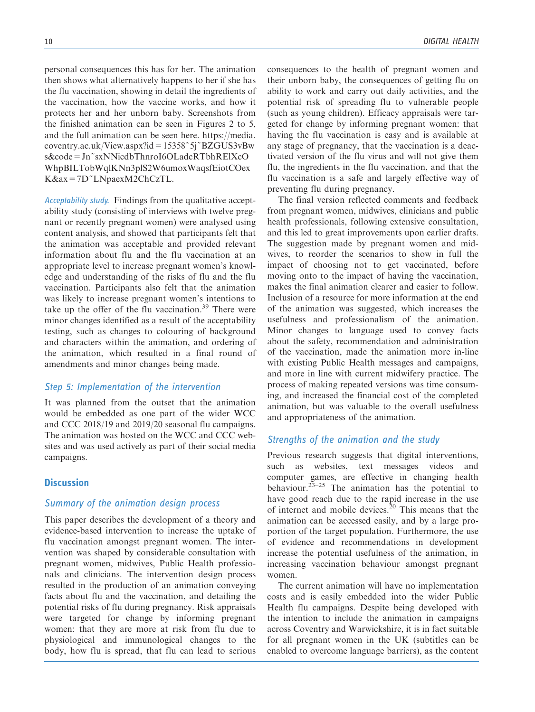personal consequences this has for her. The animation then shows what alternatively happens to her if she has the flu vaccination, showing in detail the ingredients of the vaccination, how the vaccine works, and how it protects her and her unborn baby. Screenshots from the finished animation can be seen in Figures 2 to 5, and the full animation can be seen here. [https://media.](https://media.coventry.ac.uk/View.aspx?id=15358~5j~BZGUS3vBws&code=Jn~sxNNicdbThnroI6OLadcRTbhRElXcOWhpBILTobWqlKNn3plS2W6umoxWaqsfEiotCOexK&ax=7D~LNpaexM2ChCzTL) [coventry.ac.uk/View.aspx?id=15358~5j~BZGUS3vBw](https://media.coventry.ac.uk/View.aspx?id=15358~5j~BZGUS3vBws&code=Jn~sxNNicdbThnroI6OLadcRTbhRElXcOWhpBILTobWqlKNn3plS2W6umoxWaqsfEiotCOexK&ax=7D~LNpaexM2ChCzTL) [s&code=Jn~sxNNicdbThnroI6OLadcRTbhRElXcO](https://media.coventry.ac.uk/View.aspx?id=15358~5j~BZGUS3vBws&code=Jn~sxNNicdbThnroI6OLadcRTbhRElXcOWhpBILTobWqlKNn3plS2W6umoxWaqsfEiotCOexK&ax=7D~LNpaexM2ChCzTL) [WhpBILTobWqlKNn3plS2W6umoxWaqsfEiotCOex](https://media.coventry.ac.uk/View.aspx?id=15358~5j~BZGUS3vBws&code=Jn~sxNNicdbThnroI6OLadcRTbhRElXcOWhpBILTobWqlKNn3plS2W6umoxWaqsfEiotCOexK&ax=7D~LNpaexM2ChCzTL) [K&ax=7D~LNpaexM2ChCzTL](https://media.coventry.ac.uk/View.aspx?id=15358~5j~BZGUS3vBws&code=Jn~sxNNicdbThnroI6OLadcRTbhRElXcOWhpBILTobWqlKNn3plS2W6umoxWaqsfEiotCOexK&ax=7D~LNpaexM2ChCzTL).

Acceptability study. Findings from the qualitative acceptability study (consisting of interviews with twelve pregnant or recently pregnant women) were analysed using content analysis, and showed that participants felt that the animation was acceptable and provided relevant information about flu and the flu vaccination at an appropriate level to increase pregnant women's knowledge and understanding of the risks of flu and the flu vaccination. Participants also felt that the animation was likely to increase pregnant women's intentions to take up the offer of the flu vaccination.<sup>39</sup> There were minor changes identified as a result of the acceptability testing, such as changes to colouring of background and characters within the animation, and ordering of the animation, which resulted in a final round of amendments and minor changes being made.

# Step 5: Implementation of the intervention

It was planned from the outset that the animation would be embedded as one part of the wider WCC and CCC 2018/19 and 2019/20 seasonal flu campaigns. The animation was hosted on the WCC and CCC websites and was used actively as part of their social media campaigns.

## **Discussion**

## Summary of the animation design process

This paper describes the development of a theory and evidence-based intervention to increase the uptake of flu vaccination amongst pregnant women. The intervention was shaped by considerable consultation with pregnant women, midwives, Public Health professionals and clinicians. The intervention design process resulted in the production of an animation conveying facts about flu and the vaccination, and detailing the potential risks of flu during pregnancy. Risk appraisals were targeted for change by informing pregnant women: that they are more at risk from flu due to physiological and immunological changes to the body, how flu is spread, that flu can lead to serious consequences to the health of pregnant women and their unborn baby, the consequences of getting flu on ability to work and carry out daily activities, and the potential risk of spreading flu to vulnerable people (such as young children). Efficacy appraisals were targeted for change by informing pregnant women: that having the flu vaccination is easy and is available at any stage of pregnancy, that the vaccination is a deactivated version of the flu virus and will not give them flu, the ingredients in the flu vaccination, and that the flu vaccination is a safe and largely effective way of preventing flu during pregnancy.

The final version reflected comments and feedback from pregnant women, midwives, clinicians and public health professionals, following extensive consultation, and this led to great improvements upon earlier drafts. The suggestion made by pregnant women and midwives, to reorder the scenarios to show in full the impact of choosing not to get vaccinated, before moving onto to the impact of having the vaccination, makes the final animation clearer and easier to follow. Inclusion of a resource for more information at the end of the animation was suggested, which increases the usefulness and professionalism of the animation. Minor changes to language used to convey facts about the safety, recommendation and administration of the vaccination, made the animation more in-line with existing Public Health messages and campaigns, and more in line with current midwifery practice. The process of making repeated versions was time consuming, and increased the financial cost of the completed animation, but was valuable to the overall usefulness and appropriateness of the animation.

### Strengths of the animation and the study

Previous research suggests that digital interventions, such as websites, text messages videos and computer games, are effective in changing health behaviour.<sup>23-25</sup> The animation has the potential to have good reach due to the rapid increase in the use of internet and mobile devices. $20$  This means that the animation can be accessed easily, and by a large proportion of the target population. Furthermore, the use of evidence and recommendations in development increase the potential usefulness of the animation, in increasing vaccination behaviour amongst pregnant women.

The current animation will have no implementation costs and is easily embedded into the wider Public Health flu campaigns. Despite being developed with the intention to include the animation in campaigns across Coventry and Warwickshire, it is in fact suitable for all pregnant women in the UK (subtitles can be enabled to overcome language barriers), as the content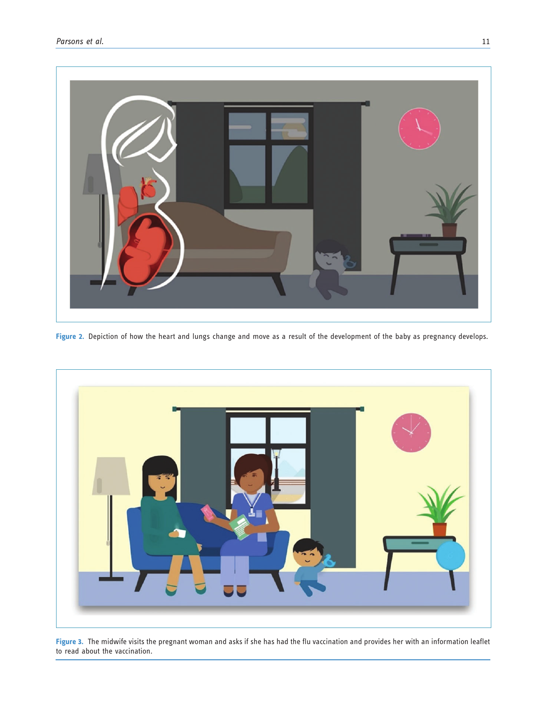

Figure 2. Depiction of how the heart and lungs change and move as a result of the development of the baby as pregnancy develops.



Figure 3. The midwife visits the pregnant woman and asks if she has had the flu vaccination and provides her with an information leaflet to read about the vaccination.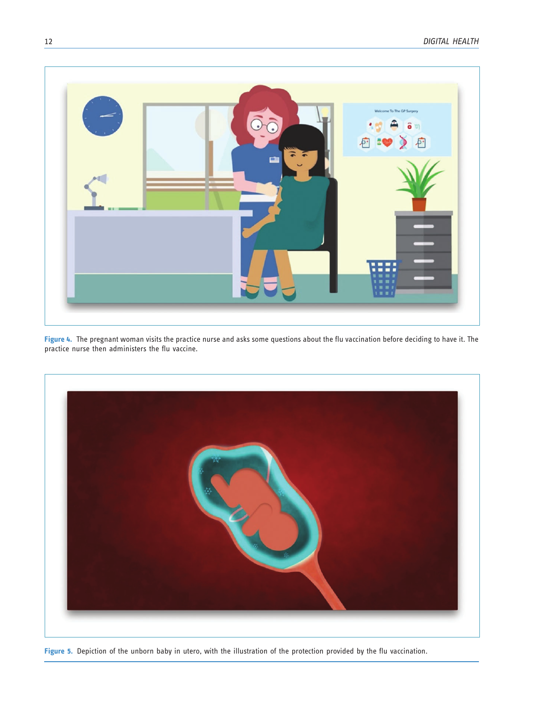

Figure 4. The pregnant woman visits the practice nurse and asks some questions about the flu vaccination before deciding to have it. The practice nurse then administers the flu vaccine.



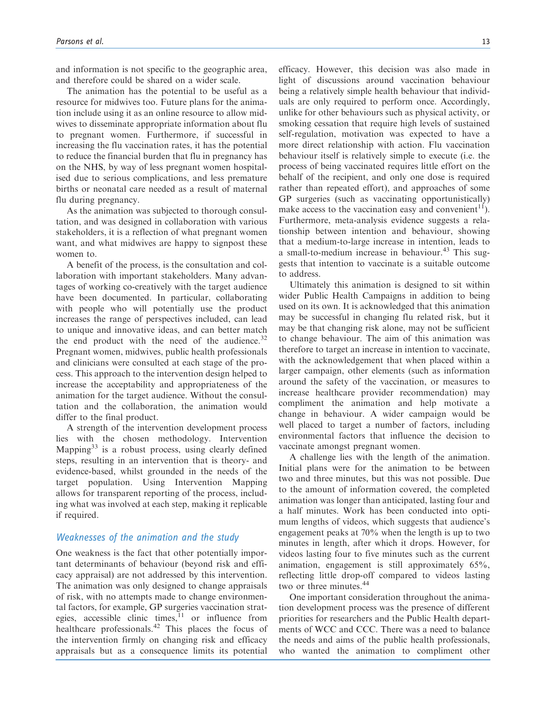and information is not specific to the geographic area, and therefore could be shared on a wider scale.

The animation has the potential to be useful as a resource for midwives too. Future plans for the animation include using it as an online resource to allow midwives to disseminate appropriate information about flu to pregnant women. Furthermore, if successful in increasing the flu vaccination rates, it has the potential to reduce the financial burden that flu in pregnancy has on the NHS, by way of less pregnant women hospitalised due to serious complications, and less premature births or neonatal care needed as a result of maternal flu during pregnancy.

As the animation was subjected to thorough consultation, and was designed in collaboration with various stakeholders, it is a reflection of what pregnant women want, and what midwives are happy to signpost these women to.

A benefit of the process, is the consultation and collaboration with important stakeholders. Many advantages of working co-creatively with the target audience have been documented. In particular, collaborating with people who will potentially use the product increases the range of perspectives included, can lead to unique and innovative ideas, and can better match the end product with the need of the audience. $32$ Pregnant women, midwives, public health professionals and clinicians were consulted at each stage of the process. This approach to the intervention design helped to increase the acceptability and appropriateness of the animation for the target audience. Without the consultation and the collaboration, the animation would differ to the final product.

A strength of the intervention development process lies with the chosen methodology. Intervention Mapping $33$  is a robust process, using clearly defined steps, resulting in an intervention that is theory- and evidence-based, whilst grounded in the needs of the target population. Using Intervention Mapping allows for transparent reporting of the process, including what was involved at each step, making it replicable if required.

# Weaknesses of the animation and the study

One weakness is the fact that other potentially important determinants of behaviour (beyond risk and efficacy appraisal) are not addressed by this intervention. The animation was only designed to change appraisals of risk, with no attempts made to change environmental factors, for example, GP surgeries vaccination strategies, accessible clinic times, $11$  or influence from healthcare professionals.<sup>42</sup> This places the focus of the intervention firmly on changing risk and efficacy appraisals but as a consequence limits its potential efficacy. However, this decision was also made in light of discussions around vaccination behaviour being a relatively simple health behaviour that individuals are only required to perform once. Accordingly, unlike for other behaviours such as physical activity, or smoking cessation that require high levels of sustained self-regulation, motivation was expected to have a more direct relationship with action. Flu vaccination behaviour itself is relatively simple to execute (i.e. the process of being vaccinated requires little effort on the behalf of the recipient, and only one dose is required rather than repeated effort), and approaches of some GP surgeries (such as vaccinating opportunistically) make access to the vaccination easy and convenient<sup>11</sup>). Furthermore, meta-analysis evidence suggests a relationship between intention and behaviour, showing that a medium-to-large increase in intention, leads to a small-to-medium increase in behaviour.<sup>43</sup> This suggests that intention to vaccinate is a suitable outcome to address.

Ultimately this animation is designed to sit within wider Public Health Campaigns in addition to being used on its own. It is acknowledged that this animation may be successful in changing flu related risk, but it may be that changing risk alone, may not be sufficient to change behaviour. The aim of this animation was therefore to target an increase in intention to vaccinate, with the acknowledgement that when placed within a larger campaign, other elements (such as information around the safety of the vaccination, or measures to increase healthcare provider recommendation) may compliment the animation and help motivate a change in behaviour. A wider campaign would be well placed to target a number of factors, including environmental factors that influence the decision to vaccinate amongst pregnant women.

A challenge lies with the length of the animation. Initial plans were for the animation to be between two and three minutes, but this was not possible. Due to the amount of information covered, the completed animation was longer than anticipated, lasting four and a half minutes. Work has been conducted into optimum lengths of videos, which suggests that audience's engagement peaks at 70% when the length is up to two minutes in length, after which it drops. However, for videos lasting four to five minutes such as the current animation, engagement is still approximately 65%, reflecting little drop-off compared to videos lasting two or three minutes.<sup>44</sup>

One important consideration throughout the animation development process was the presence of different priorities for researchers and the Public Health departments of WCC and CCC. There was a need to balance the needs and aims of the public health professionals, who wanted the animation to compliment other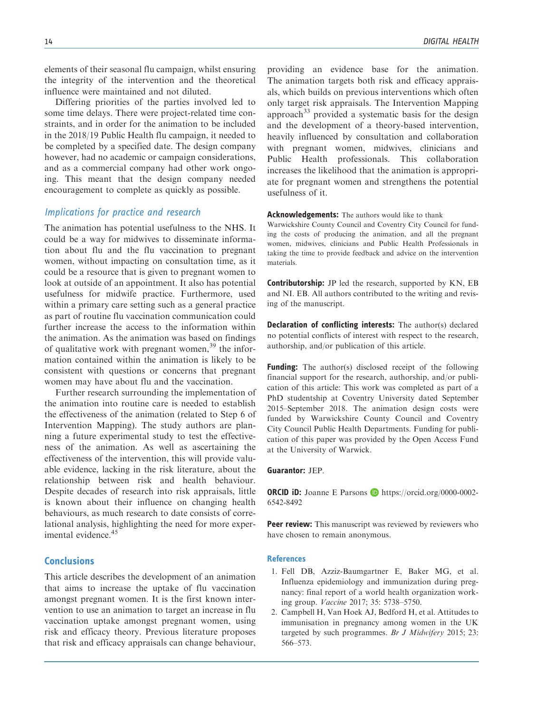elements of their seasonal flu campaign, whilst ensuring the integrity of the intervention and the theoretical influence were maintained and not diluted.

Differing priorities of the parties involved led to some time delays. There were project-related time constraints, and in order for the animation to be included in the 2018/19 Public Health flu campaign, it needed to be completed by a specified date. The design company however, had no academic or campaign considerations, and as a commercial company had other work ongoing. This meant that the design company needed encouragement to complete as quickly as possible.

# Implications for practice and research

The animation has potential usefulness to the NHS. It could be a way for midwives to disseminate information about flu and the flu vaccination to pregnant women, without impacting on consultation time, as it could be a resource that is given to pregnant women to look at outside of an appointment. It also has potential usefulness for midwife practice. Furthermore, used within a primary care setting such as a general practice as part of routine flu vaccination communication could further increase the access to the information within the animation. As the animation was based on findings of qualitative work with pregnant women,<sup>39</sup> the information contained within the animation is likely to be consistent with questions or concerns that pregnant women may have about flu and the vaccination.

Further research surrounding the implementation of the animation into routine care is needed to establish the effectiveness of the animation (related to Step 6 of Intervention Mapping). The study authors are planning a future experimental study to test the effectiveness of the animation. As well as ascertaining the effectiveness of the intervention, this will provide valuable evidence, lacking in the risk literature, about the relationship between risk and health behaviour. Despite decades of research into risk appraisals, little is known about their influence on changing health behaviours, as much research to date consists of correlational analysis, highlighting the need for more experimental evidence.<sup>45</sup>

# Conclusions

This article describes the development of an animation that aims to increase the uptake of flu vaccination amongst pregnant women. It is the first known intervention to use an animation to target an increase in flu vaccination uptake amongst pregnant women, using risk and efficacy theory. Previous literature proposes that risk and efficacy appraisals can change behaviour, providing an evidence base for the animation. The animation targets both risk and efficacy appraisals, which builds on previous interventions which often only target risk appraisals. The Intervention Mapping approach<sup>33</sup> provided a systematic basis for the design and the development of a theory-based intervention, heavily influenced by consultation and collaboration with pregnant women, midwives, clinicians and Public Health professionals. This collaboration increases the likelihood that the animation is appropriate for pregnant women and strengthens the potential usefulness of it.

Acknowledgements: The authors would like to thank

Warwickshire County Council and Coventry City Council for funding the costs of producing the animation, and all the pregnant women, midwives, clinicians and Public Health Professionals in taking the time to provide feedback and advice on the intervention materials.

Contributorship: JP led the research, supported by KN, EB and NI. EB. All authors contributed to the writing and revising of the manuscript.

**Declaration of conflicting interests:** The author(s) declared no potential conflicts of interest with respect to the research, authorship, and/or publication of this article.

**Funding:** The author(s) disclosed receipt of the following financial support for the research, authorship, and/or publication of this article: This work was completed as part of a PhD studentship at Coventry University dated September 2015–September 2018. The animation design costs were funded by Warwickshire County Council and Coventry City Council Public Health Departments. Funding for publication of this paper was provided by the Open Access Fund at the University of Warwick.

### Guarantor: JEP.

**ORCID iD:** Joanne E Parsons  $\Box$  [https://orcid.org/0000-0002-](https://orcid.org/0000-0002-6542-8492) [6542-8492](https://orcid.org/0000-0002-6542-8492)

**Peer review:** This manuscript was reviewed by reviewers who have chosen to remain anonymous.

### References

- 1. Fell DB, Azziz-Baumgartner E, Baker MG, et al. Influenza epidemiology and immunization during pregnancy: final report of a world health organization working group. Vaccine 2017; 35: 5738–5750.
- 2. Campbell H, Van Hoek AJ, Bedford H, et al. Attitudes to immunisation in pregnancy among women in the UK targeted by such programmes. Br J Midwifery 2015; 23: 566–573.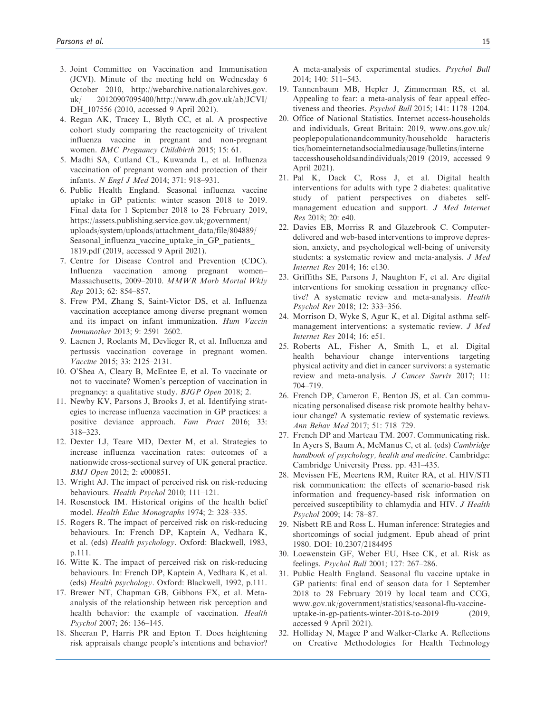- 3. Joint Committee on Vaccination and Immunisation (JCVI). Minute of the meeting held on Wednesday 6 October 2010, [http://webarchive.nationalarchives.gov.](http://webarchive.nationalarchives.gov.uk/20120907095400/http://www.dh.gov.uk/ab/JCVI/DH_107556) [uk/ 20120907095400/http://www.dh.gov.uk/ab/JCVI/](http://webarchive.nationalarchives.gov.uk/20120907095400/http://www.dh.gov.uk/ab/JCVI/DH_107556) DH 107556 (2010, accessed 9 April 2021).
- 4. Regan AK, Tracey L, Blyth CC, et al. A prospective cohort study comparing the reactogenicity of trivalent influenza vaccine in pregnant and non-pregnant women. BMC Pregnancy Childbirth 2015; 15: 61.
- 5. Madhi SA, Cutland CL, Kuwanda L, et al. Influenza vaccination of pregnant women and protection of their infants. N Engl J Med 2014; 371: 918–931.
- 6. Public Health England. Seasonal influenza vaccine uptake in GP patients: winter season 2018 to 2019. Final data for 1 September 2018 to 28 February 2019, [https://assets.publishing.service.gov.uk/government/](https://assets.publishing.service.gov.uk/government/uploads/system/uploads/attachment_data/file/804889/Seasonal_influenza_vaccine_uptake_in_GP_patients_1819.pdf) [uploads/system/uploads/attachment\\_data/file/804889/](https://assets.publishing.service.gov.uk/government/uploads/system/uploads/attachment_data/file/804889/Seasonal_influenza_vaccine_uptake_in_GP_patients_1819.pdf) Seasonal influenza vaccine uptake in GP patients [1819.pdf](https://assets.publishing.service.gov.uk/government/uploads/system/uploads/attachment_data/file/804889/Seasonal_influenza_vaccine_uptake_in_GP_patients_1819.pdf) (2019, accessed 9 April 2021).
- 7. Centre for Disease Control and Prevention (CDC). Influenza vaccination among pregnant women– Massachusetts, 2009–2010. MMWR Morb Mortal Wkly Rep 2013; 62: 854–857.
- 8. Frew PM, Zhang S, Saint-Victor DS, et al. Influenza vaccination acceptance among diverse pregnant women and its impact on infant immunization. Hum Vaccin Immunother 2013; 9: 2591–2602.
- 9. Laenen J, Roelants M, Devlieger R, et al. Influenza and pertussis vaccination coverage in pregnant women. Vaccine 2015; 33: 2125–2131.
- 10. O'Shea A, Cleary B, McEntee E, et al. To vaccinate or not to vaccinate? Women's perception of vaccination in pregnancy: a qualitative study. BJGP Open 2018; 2.
- 11. Newby KV, Parsons J, Brooks J, et al. Identifying strategies to increase influenza vaccination in GP practices: a positive deviance approach. Fam Pract 2016; 33: 318–323.
- 12. Dexter LJ, Teare MD, Dexter M, et al. Strategies to increase influenza vaccination rates: outcomes of a nationwide cross-sectional survey of UK general practice. BMJ Open 2012; 2: e000851.
- 13. Wright AJ. The impact of perceived risk on risk-reducing behaviours. Health Psychol 2010; 111–121.
- 14. Rosenstock IM. Historical origins of the health belief model. Health Educ Monographs 1974; 2: 328–335.
- 15. Rogers R. The impact of perceived risk on risk-reducing behaviours. In: French DP, Kaptein A, Vedhara K, et al. (eds) Health psychology. Oxford: Blackwell, 1983, p.111.
- 16. Witte K. The impact of perceived risk on risk-reducing behaviours. In: French DP, Kaptein A, Vedhara K, et al. (eds) Health psychology. Oxford: Blackwell, 1992, p.111.
- 17. Brewer NT, Chapman GB, Gibbons FX, et al. Metaanalysis of the relationship between risk perception and health behavior: the example of vaccination. Health Psychol 2007; 26: 136–145.
- 18. Sheeran P, Harris PR and Epton T. Does heightening risk appraisals change people's intentions and behavior?

A meta-analysis of experimental studies. Psychol Bull 2014; 140: 511–543.

- 19. Tannenbaum MB, Hepler J, Zimmerman RS, et al. Appealing to fear: a meta-analysis of fear appeal effectiveness and theories. Psychol Bull 2015; 141: 1178–1204.
- 20. Office of National Statistics. Internet access-households and individuals, Great Britain: 2019, [www.ons.gov.uk/](http://www.ons.gov.uk/peoplepopulationandcommunity/householdcharacteristics/homeinternetandsocialmediausage/bulletins/internetaccesshouseholdsandindividuals/2019) [peoplepopulationandcommunity/householdc haracteris](http://www.ons.gov.uk/peoplepopulationandcommunity/householdcharacteristics/homeinternetandsocialmediausage/bulletins/internetaccesshouseholdsandindividuals/2019) [tics/homeinternetandsocialmediausage/bulletins/interne](http://www.ons.gov.uk/peoplepopulationandcommunity/householdcharacteristics/homeinternetandsocialmediausage/bulletins/internetaccesshouseholdsandindividuals/2019) [taccesshouseholdsandindividuals/2019](http://www.ons.gov.uk/peoplepopulationandcommunity/householdcharacteristics/homeinternetandsocialmediausage/bulletins/internetaccesshouseholdsandindividuals/2019) (2019, accessed 9 April 2021).
- 21. Pal K, Dack C, Ross J, et al. Digital health interventions for adults with type 2 diabetes: qualitative study of patient perspectives on diabetes selfmanagement education and support. J Med Internet Res 2018; 20: e40.
- 22. Davies EB, Morriss R and Glazebrook C. Computerdelivered and web-based interventions to improve depression, anxiety, and psychological well-being of university students: a systematic review and meta-analysis. J Med Internet Res 2014; 16: e130.
- 23. Griffiths SE, Parsons J, Naughton F, et al. Are digital interventions for smoking cessation in pregnancy effective? A systematic review and meta-analysis. Health Psychol Rev 2018; 12: 333–356.
- 24. Morrison D, Wyke S, Agur K, et al. Digital asthma selfmanagement interventions: a systematic review. J Med Internet Res 2014; 16: e51.
- 25. Roberts AL, Fisher A, Smith L, et al. Digital health behaviour change interventions targeting physical activity and diet in cancer survivors: a systematic review and meta-analysis. J Cancer Surviv 2017; 11: 704–719.
- 26. French DP, Cameron E, Benton JS, et al. Can communicating personalised disease risk promote healthy behaviour change? A systematic review of systematic reviews. Ann Behav Med 2017; 51: 718–729.
- 27. French DP and Marteau TM. 2007. Communicating risk. In Ayers S, Baum A, McManus C, et al. (eds) Cambridge handbook of psychology, health and medicine. Cambridge: Cambridge University Press. pp. 431–435.
- 28. Mevissen FE, Meertens RM, Ruiter RA, et al. HIV/STI risk communication: the effects of scenario-based risk information and frequency-based risk information on perceived susceptibility to chlamydia and HIV. J Health Psychol 2009; 14: 78–87.
- 29. Nisbett RE and Ross L. Human inference: Strategies and shortcomings of social judgment. Epub ahead of print 1980. DOI: 10.2307/2184495
- 30. Loewenstein GF, Weber EU, Hsee CK, et al. Risk as feelings. Psychol Bull 2001; 127: 267–286.
- 31. Public Health England. Seasonal flu vaccine uptake in GP patients: final end of season data for 1 September 2018 to 28 February 2019 by local team and CCG, [www.gov.uk/government/statistics/seasonal-flu-vaccine](http://www.gov.uk/government/statistics/seasonal-flu-vaccine-uptake-in-gp-patients-winter-2018-to-2019)[uptake-in-gp-patients-winter-2018-to-2019](http://www.gov.uk/government/statistics/seasonal-flu-vaccine-uptake-in-gp-patients-winter-2018-to-2019) (2019, accessed 9 April 2021).
- 32. Holliday N, Magee P and Walker-Clarke A. Reflections on Creative Methodologies for Health Technology